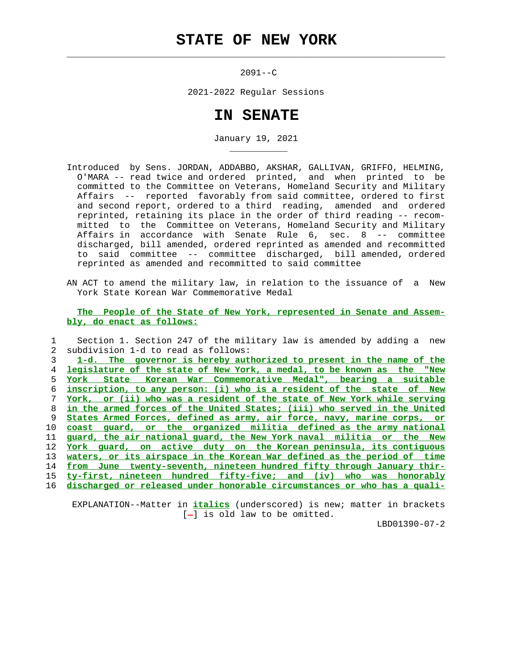## **STATE OF NEW YORK**

 $\mathcal{L}_\text{max} = \frac{1}{2} \sum_{i=1}^{n} \frac{1}{2} \sum_{i=1}^{n} \frac{1}{2} \sum_{i=1}^{n} \frac{1}{2} \sum_{i=1}^{n} \frac{1}{2} \sum_{i=1}^{n} \frac{1}{2} \sum_{i=1}^{n} \frac{1}{2} \sum_{i=1}^{n} \frac{1}{2} \sum_{i=1}^{n} \frac{1}{2} \sum_{i=1}^{n} \frac{1}{2} \sum_{i=1}^{n} \frac{1}{2} \sum_{i=1}^{n} \frac{1}{2} \sum_{i=1}^{n} \frac{1$ 

\_\_\_\_\_\_\_\_\_\_\_

2091--C

2021-2022 Regular Sessions

## **IN SENATE**

January 19, 2021

- Introduced by Sens. JORDAN, ADDABBO, AKSHAR, GALLIVAN, GRIFFO, HELMING, O'MARA -- read twice and ordered printed, and when printed to be committed to the Committee on Veterans, Homeland Security and Military Affairs -- reported favorably from said committee, ordered to first and second report, ordered to a third reading, amended and ordered reprinted, retaining its place in the order of third reading -- recom mitted to the Committee on Veterans, Homeland Security and Military Affairs in accordance with Senate Rule 6, sec. 8 -- committee discharged, bill amended, ordered reprinted as amended and recommitted to said committee -- committee discharged, bill amended, ordered reprinted as amended and recommitted to said committee
- AN ACT to amend the military law, in relation to the issuance of a New York State Korean War Commemorative Medal

 **The People of the State of New York, represented in Senate and Assem bly, do enact as follows:**

 1 Section 1. Section 247 of the military law is amended by adding a new 2 subdivision 1-d to read as follows: **1-d. The governor is hereby authorized to present in the name of the legislature of the state of New York, a medal, to be known as the "New York State Korean War Commemorative Medal", bearing a suitable inscription, to any person: (i) who is a resident of the state of New York, or (ii) who was a resident of the state of New York while serving in the armed forces of the United States; (iii) who served in the United States Armed Forces, defined as army, air force, navy, marine corps, or coast guard, or the organized militia defined as the army national guard, the air national guard, the New York naval militia or the New York guard, on active duty on the Korean peninsula, its contiguous waters, or its airspace in the Korean War defined as the period of time from June twenty-seventh, nineteen hundred fifty through January thir- ty-first, nineteen hundred fifty-five; and (iv) who was honorably discharged or released under honorable circumstances or who has a quali-**

 EXPLANATION--Matter in **italics** (underscored) is new; matter in brackets  $[-]$  is old law to be omitted.

LBD01390-07-2